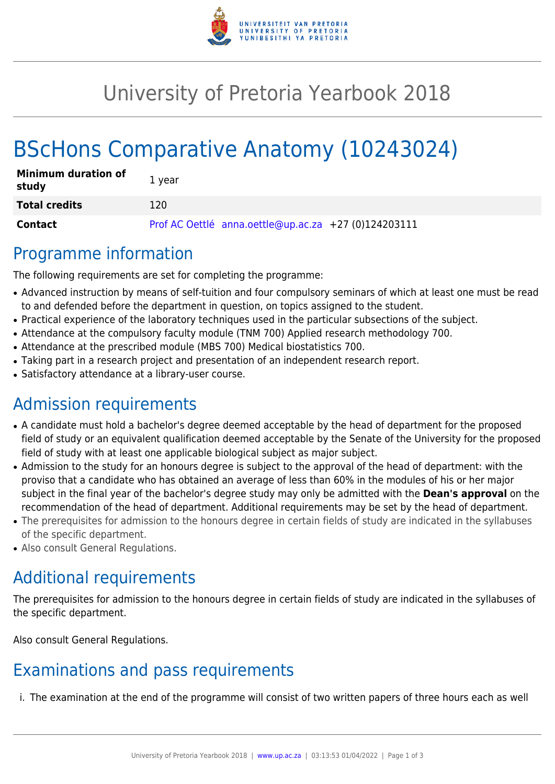

# University of Pretoria Yearbook 2018

# BScHons Comparative Anatomy (10243024)

| <b>Minimum duration of</b><br>study | 1 year                                               |
|-------------------------------------|------------------------------------------------------|
| <b>Total credits</b>                | 120                                                  |
| Contact                             | Prof AC Oettlé anna.oettle@up.ac.za +27 (0)124203111 |

## Programme information

The following requirements are set for completing the programme:

- Advanced instruction by means of self-tuition and four compulsory seminars of which at least one must be read to and defended before the department in question, on topics assigned to the student.
- Practical experience of the laboratory techniques used in the particular subsections of the subject.
- Attendance at the compulsory faculty module (TNM 700) Applied research methodology 700.
- Attendance at the prescribed module (MBS 700) Medical biostatistics 700.
- Taking part in a research project and presentation of an independent research report.
- Satisfactory attendance at a library-user course.

# Admission requirements

- A candidate must hold a bachelor's degree deemed acceptable by the head of department for the proposed field of study or an equivalent qualification deemed acceptable by the Senate of the University for the proposed field of study with at least one applicable biological subject as major subject.
- Admission to the study for an honours degree is subject to the approval of the head of department: with the proviso that a candidate who has obtained an average of less than 60% in the modules of his or her major subject in the final year of the bachelor's degree study may only be admitted with the **Dean's approval** on the recommendation of the head of department. Additional requirements may be set by the head of department.
- The prerequisites for admission to the honours degree in certain fields of study are indicated in the syllabuses of the specific department.
- Also consult General Regulations.

# Additional requirements

The prerequisites for admission to the honours degree in certain fields of study are indicated in the syllabuses of the specific department.

Also consult General Regulations.

## Examinations and pass requirements

i. The examination at the end of the programme will consist of two written papers of three hours each as well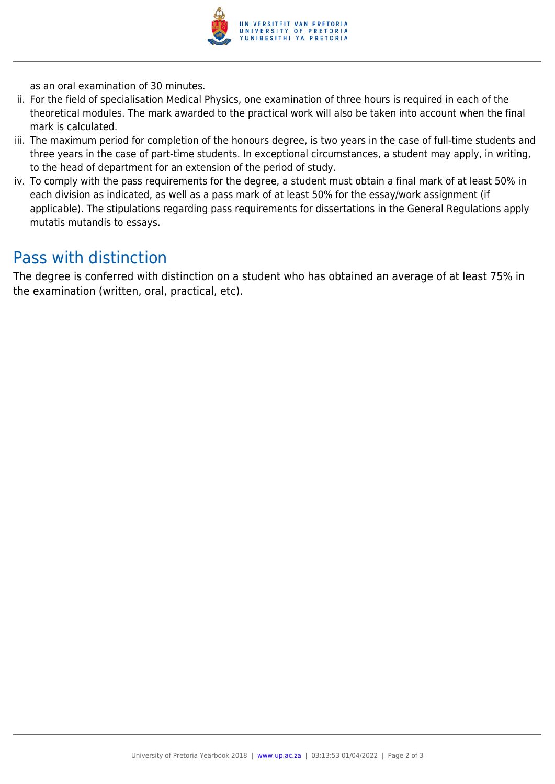

as an oral examination of 30 minutes.

- ii. For the field of specialisation Medical Physics, one examination of three hours is required in each of the theoretical modules. The mark awarded to the practical work will also be taken into account when the final mark is calculated.
- iii. The maximum period for completion of the honours degree, is two years in the case of full-time students and three years in the case of part-time students. In exceptional circumstances, a student may apply, in writing, to the head of department for an extension of the period of study.
- iv. To comply with the pass requirements for the degree, a student must obtain a final mark of at least 50% in each division as indicated, as well as a pass mark of at least 50% for the essay/work assignment (if applicable). The stipulations regarding pass requirements for dissertations in the General Regulations apply mutatis mutandis to essays.

## Pass with distinction

The degree is conferred with distinction on a student who has obtained an average of at least 75% in the examination (written, oral, practical, etc).